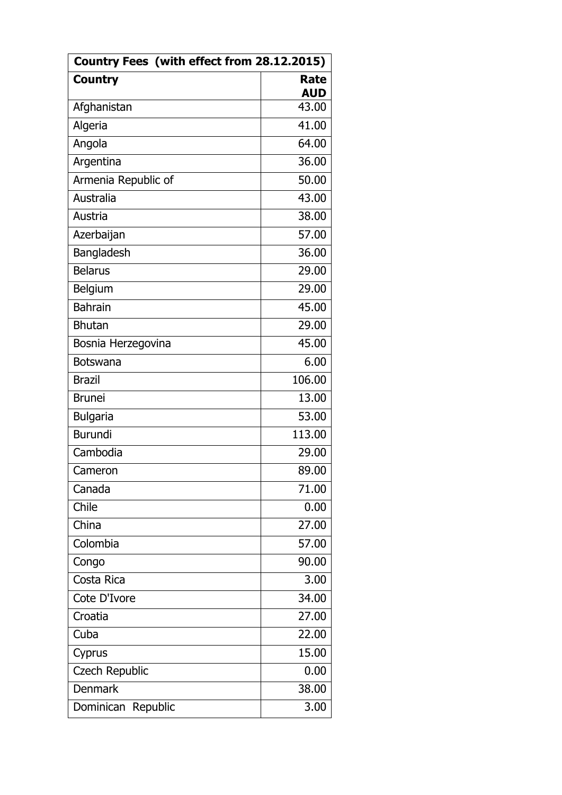| Country Fees (with effect from 28.12.2015) |                           |  |
|--------------------------------------------|---------------------------|--|
| <b>Country</b>                             | <b>Rate</b><br><b>AUD</b> |  |
| Afghanistan                                | 43.00                     |  |
| Algeria                                    | 41.00                     |  |
| Angola                                     | 64.00                     |  |
| Argentina                                  | 36.00                     |  |
| Armenia Republic of                        | 50.00                     |  |
| Australia                                  | 43.00                     |  |
| Austria                                    | 38.00                     |  |
| Azerbaijan                                 | 57.00                     |  |
| Bangladesh                                 | 36.00                     |  |
| <b>Belarus</b>                             | 29.00                     |  |
| Belgium                                    | 29.00                     |  |
| <b>Bahrain</b>                             | 45.00                     |  |
| <b>Bhutan</b>                              | 29.00                     |  |
| Bosnia Herzegovina                         | 45.00                     |  |
| <b>Botswana</b>                            | 6.00                      |  |
| <b>Brazil</b>                              | 106.00                    |  |
| <b>Brunei</b>                              | 13.00                     |  |
| <b>Bulgaria</b>                            | 53.00                     |  |
| <b>Burundi</b>                             | 113.00                    |  |
| Cambodia                                   | 29.00                     |  |
| Cameron                                    | 89.00                     |  |
| Canada                                     | 71.00                     |  |
| Chile                                      | 0.00                      |  |
| China                                      | 27.00                     |  |
| Colombia                                   | 57.00                     |  |
| Congo                                      | 90.00                     |  |
| Costa Rica                                 | 3.00                      |  |
| Cote D'Ivore                               | 34.00                     |  |
| Croatia                                    | 27.00                     |  |
| Cuba                                       | 22.00                     |  |
| Cyprus                                     | 15.00                     |  |
| <b>Czech Republic</b>                      | 0.00                      |  |
| <b>Denmark</b>                             | 38.00                     |  |
| Dominican Republic                         | 3.00                      |  |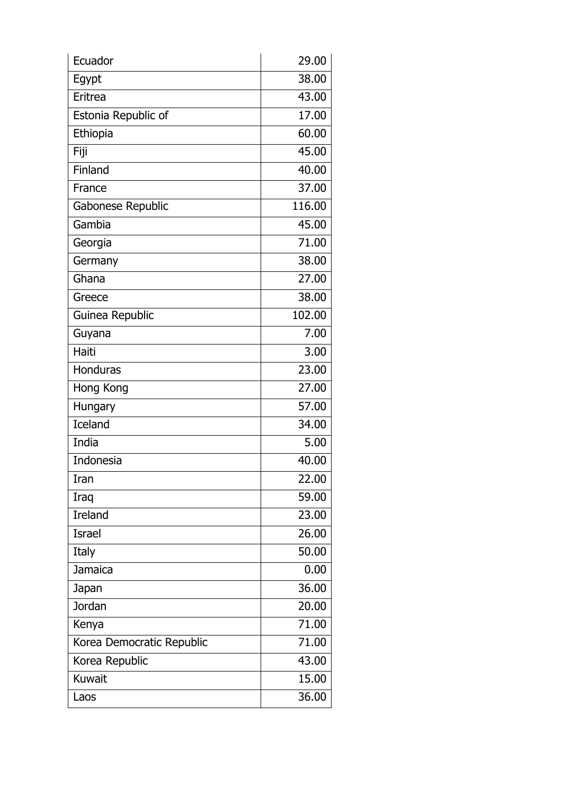| Ecuador                   | 29.00  |
|---------------------------|--------|
| Egypt                     | 38.00  |
| Eritrea                   | 43.00  |
| Estonia Republic of       | 17.00  |
| Ethiopia                  | 60.00  |
| Fiji                      | 45.00  |
| Finland                   | 40.00  |
| France                    | 37.00  |
| Gabonese Republic         | 116.00 |
| Gambia                    | 45.00  |
| Georgia                   | 71.00  |
| Germany                   | 38.00  |
| Ghana                     | 27.00  |
| Greece                    | 38.00  |
| Guinea Republic           | 102.00 |
| Guyana                    | 7.00   |
| Haiti                     | 3.00   |
| <b>Honduras</b>           | 23.00  |
| Hong Kong                 | 27.00  |
| Hungary                   | 57.00  |
| <b>Iceland</b>            | 34.00  |
| India                     | 5.00   |
| <b>Indonesia</b>          | 40.00  |
| Iran                      | 22.00  |
| Iraq                      | 59.00  |
| <b>Ireland</b>            | 23.00  |
| <b>Israel</b>             | 26.00  |
| Italy                     | 50.00  |
| Jamaica                   | 0.00   |
| Japan                     | 36.00  |
| Jordan                    | 20.00  |
| Kenya                     | 71.00  |
| Korea Democratic Republic | 71.00  |
| Korea Republic            | 43.00  |
| <b>Kuwait</b>             | 15.00  |
| Laos                      | 36.00  |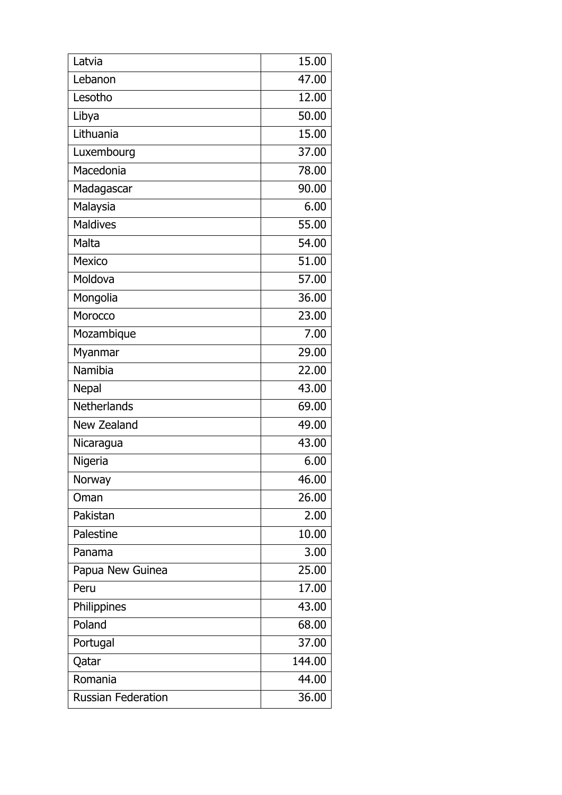| Latvia                    | 15.00  |
|---------------------------|--------|
| Lebanon                   | 47.00  |
| Lesotho                   | 12.00  |
| Libya                     | 50.00  |
| Lithuania                 | 15.00  |
| Luxembourg                | 37.00  |
| Macedonia                 | 78.00  |
| Madagascar                | 90.00  |
| Malaysia                  | 6.00   |
| <b>Maldives</b>           | 55.00  |
| Malta                     | 54.00  |
| Mexico                    | 51.00  |
| Moldova                   | 57.00  |
| Mongolia                  | 36.00  |
| Morocco                   | 23.00  |
| Mozambique                | 7.00   |
| Myanmar                   | 29.00  |
| Namibia                   | 22.00  |
| <b>Nepal</b>              | 43.00  |
| <b>Netherlands</b>        | 69.00  |
| New Zealand               | 49.00  |
| Nicaragua                 | 43.00  |
| Nigeria                   | 6.00   |
| <b>Norway</b>             | 46.00  |
| Oman                      | 26.00  |
| Pakistan                  | 2.00   |
| Palestine                 | 10.00  |
| Panama                    | 3.00   |
| Papua New Guinea          | 25.00  |
| Peru                      | 17.00  |
| Philippines               | 43.00  |
| Poland                    | 68.00  |
| Portugal                  | 37.00  |
| Qatar                     | 144.00 |
| Romania                   | 44.00  |
| <b>Russian Federation</b> | 36.00  |